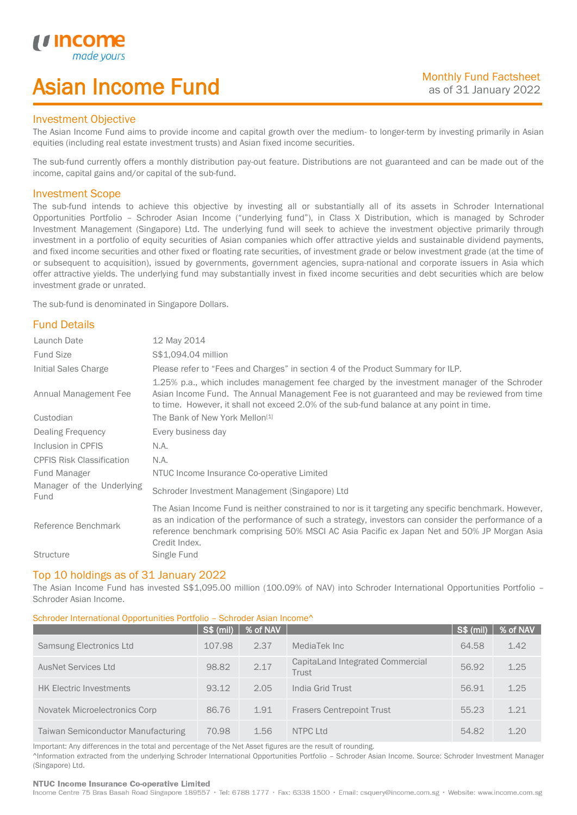# Asian Income Fund

### Investment Objective

u incor

I

The Asian Income Fund aims to provide income and capital growth over the medium- to longer-term by investing primarily in Asian equities (including real estate investment trusts) and Asian fixed income securities.

The sub-fund currently offers a monthly distribution pay-out feature. Distributions are not guaranteed and can be made out of the income, capital gains and/or capital of the sub-fund.

### Investment Scope

The sub-fund intends to achieve this objective by investing all or substantially all of its assets in Schroder International Opportunities Portfolio – Schroder Asian Income ("underlying fund"), in Class X Distribution, which is managed by Schroder Investment Management (Singapore) Ltd. The underlying fund will seek to achieve the investment objective primarily through investment in a portfolio of equity securities of Asian companies which offer attractive yields and sustainable dividend payments, and fixed income securities and other fixed or floating rate securities, of investment grade or below investment grade (at the time of or subsequent to acquisition), issued by governments, government agencies, supra-national and corporate issuers in Asia which offer attractive yields. The underlying fund may substantially invest in fixed income securities and debt securities which are below investment grade or unrated.

The sub-fund is denominated in Singapore Dollars.

# Fund Details

| Launch Date                       | 12 May 2014                                                                                                                                                                                                                                                                                                                 |
|-----------------------------------|-----------------------------------------------------------------------------------------------------------------------------------------------------------------------------------------------------------------------------------------------------------------------------------------------------------------------------|
| <b>Fund Size</b>                  | S\$1,094.04 million                                                                                                                                                                                                                                                                                                         |
| Initial Sales Charge              | Please refer to "Fees and Charges" in section 4 of the Product Summary for ILP.                                                                                                                                                                                                                                             |
| Annual Management Fee             | 1.25% p.a., which includes management fee charged by the investment manager of the Schroder<br>Asian Income Fund. The Annual Management Fee is not guaranteed and may be reviewed from time<br>to time. However, it shall not exceed 2.0% of the sub-fund balance at any point in time.                                     |
| Custodian                         | The Bank of New York Mellon <sup>[1]</sup>                                                                                                                                                                                                                                                                                  |
| Dealing Frequency                 | Every business day                                                                                                                                                                                                                                                                                                          |
| Inclusion in CPFIS                | N.A.                                                                                                                                                                                                                                                                                                                        |
| <b>CPFIS Risk Classification</b>  | N.A.                                                                                                                                                                                                                                                                                                                        |
| Fund Manager                      | NTUC Income Insurance Co-operative Limited                                                                                                                                                                                                                                                                                  |
| Manager of the Underlying<br>Fund | Schroder Investment Management (Singapore) Ltd                                                                                                                                                                                                                                                                              |
| Reference Benchmark               | The Asian Income Fund is neither constrained to nor is it targeting any specific benchmark. However,<br>as an indication of the performance of such a strategy, investors can consider the performance of a<br>reference benchmark comprising 50% MSCI AC Asia Pacific ex Japan Net and 50% JP Morgan Asia<br>Credit Index. |
| <b>Structure</b>                  | Single Fund                                                                                                                                                                                                                                                                                                                 |

### Top 10 holdings as of 31 January 2022

The Asian Income Fund has invested S\$1,095.00 million (100.09% of NAV) into Schroder International Opportunities Portfolio – Schroder Asian Income.

### Schroder International Opportunities Portfolio – Schroder Asian Income^

|                                           | <b>S\$ (mil)</b> | % of NAV |                                           | <b>S\$ (mil)</b> | % of NAV |
|-------------------------------------------|------------------|----------|-------------------------------------------|------------------|----------|
| <b>Samsung Electronics Ltd</b>            | 107.98           | 2.37     | MediaTek Inc                              | 64.58            | 1.42     |
| <b>AusNet Services Ltd</b>                | 98.82            | 2.17     | CapitaLand Integrated Commercial<br>Trust | 56.92            | 1.25     |
| <b>HK Electric Investments</b>            | 93.12            | 2.05     | India Grid Trust                          | 56.91            | 1.25     |
| Novatek Microelectronics Corp             | 86.76            | 1.91     | <b>Frasers Centrepoint Trust</b>          | 55.23            | 1.21     |
| <b>Taiwan Semiconductor Manufacturing</b> | 70.98            | 1.56     | NTPC Ltd                                  | 54.82            | 1.20     |

Important: Any differences in the total and percentage of the Net Asset figures are the result of rounding. ^Information extracted from the underlying Schroder International Opportunities Portfolio – Schroder Asian Income. Source: Schroder Investment Manager (Singapore) Ltd.

### NTUC Income Insurance Co-operative Limited

Income Centre 75 Bras Basah Road Singapore 189557 · Tel: 6788 1777 · Fax: 6338 1500 · Email: csquery@income.com.sg · Website: www.income.com.sg